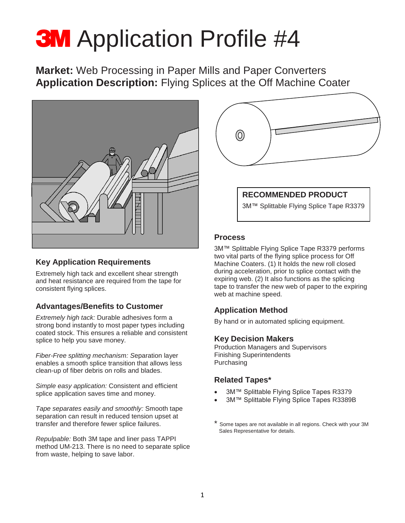# **3M** Application Profile #4

**Market:** Web Processing in Paper Mills and Paper Converters **Application Description:** Flying Splices at the Off Machine Coater



### **Key Application Requirements**

Extremely high tack and excellent shear strength and heat resistance are required from the tape for consistent flying splices.

## **Advantages/Benefits to Customer**

*Extremely high tack:* Durable adhesives form a strong bond instantly to most paper types including coated stock. This ensures a reliable and consistent splice to help you save money.

*Fiber-Free splitting mechanism: S*eparation layer enables a smooth splice transition that allows less clean-up of fiber debris on rolls and blades.

*Simple easy application:* Consistent and efficient splice application saves time and money.

*Tape separates easily and smoothly:* Smooth tape separation can result in reduced tension upset at transfer and therefore fewer splice failures.

*Repulpable:* Both 3M tape and liner pass TAPPI method UM-213. There is no need to separate splice from waste, helping to save labor.



## **RECOMMENDED PRODUCT**

3M™ Splittable Flying Splice Tape R3379

#### **Process**

3M™ Splittable Flying Splice Tape R3379 performs two vital parts of the flying splice process for Off Machine Coaters. (1) It holds the new roll closed during acceleration, prior to splice contact with the expiring web. (2) It also functions as the splicing tape to transfer the new web of paper to the expiring web at machine speed.

## **Application Method**

By hand or in automated splicing equipment.

#### **Key Decision Makers**

Production Managers and Supervisors Finishing Superintendents Purchasing

#### **Related Tapes\***

- 3M™ Splittable Flying Splice Tapes R3379
- 3M™ Splittable Flying Splice Tapes R3389B
- Some tapes are not available in all regions. Check with your 3M Sales Representative for details.